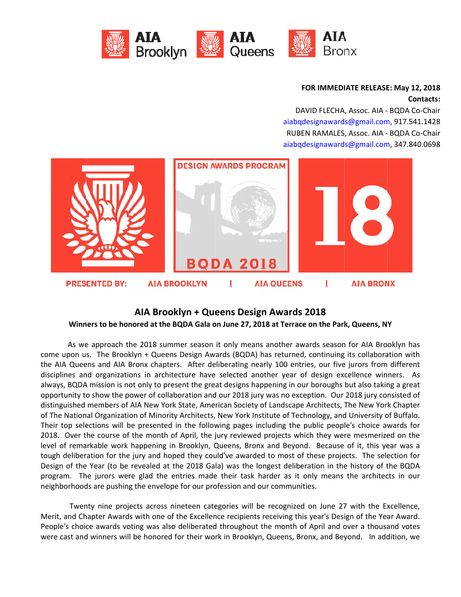

## **FOR IMMEDI IATE RELEASE E: May 12, 20 018**  $\textsf{Contents}:$

DAVID FLECHA, Assoc. AIA - BQDA Co-Chair aiabqdesignawards@gmail.com, 917.541.1428 RUBEN RAMALES, Assoc. AIA - BQDA Co-Chair aiabqdesignawards@gmail.com, 347.840.0698



# Winners to be honored at the BQDA Gala on June 27, 2018 at Terrace on the Park, Queens, NY **AIA Broo oklyn + Que eens Desig gn Awards s 2018**

come upon us. The Brooklyn + Queens Design Awards (BQDA) has returned, continuing its collaboration with the AIA Queens and AIA Bronx chapters. After deliberating nearly 100 entries, our five jurors from different disciplines and organizations in architecture have selected another year of design excellence winners. As always, BQDA mission is not only to present the great designs happening in our boroughs but also taking a great opportunity to show the power of collaboration and our 2018 jury was no exception. Our 2018 jury consisted of distinguished members of AIA New York State, American Society of Landscape Architects, The New York Chapter of The National Organization of Minority Architects, New York Institute of Technology, and University of Buffalo. Their top selections will be presented in the following pages including the public people's choice awards for 2018. Over the course of the month of April, the jury reviewed projects which they were mesmerized on the level of remarkable work happening in Brooklyn, Queens, Bronx and Beyond. Because of it, this year was a tough deliberation for the jury and hoped they could've awarded to most of these projects. The selection for Design of the Year (to be revealed at the 2018 Gala) was the longest deliberation in the history of the BQDA program. The jurors were glad the entries made their task harder as it only means the architects in our neighborhoods are pushing the envelope for our profession and our communities. As we approach the 2018 summer season it only means another awards season for AIA Brooklyn has

Merit, and Chapter Awards with one of the Excellence recipients receiving this year's Design of the Year Award. People's choice awards voting was also deliberated throughout the month of April and over a thousand votes were cast and winners will be honored for their work in Brooklyn, Queens, Bronx, and Beyond. In addition, we Twenty nine projects across nineteen categories will be recognized on June 27 with the Excellence,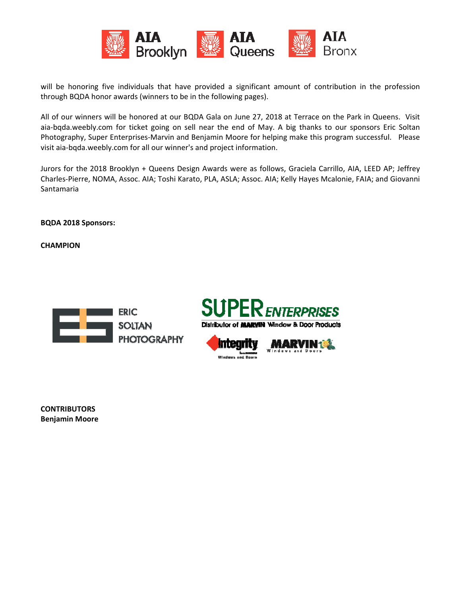

will be honoring five individuals that have provided a significant amount of contribution in the profession through BQDA honor awards (winners to be in the following pages).

All of our winners will be honored at our BQDA Gala on June 27, 2018 at Terrace on the Park in Queens. Visit aia-bqda.weebly.com for ticket going on sell near the end of May. A big thanks to our sponsors Eric Soltan Photography, Super Enterprises-Marvin and Benjamin Moore for helping make this program successful. Please v visit aia‐bqda .weebly.com for all our wi nner's and pr roject inform ation.

Jurors for the 2018 Brooklyn + Queens Design Awards were as follows, Graciela Carrillo, AIA, LEED AP; Jeffrey Charles-Pierre, NOMA, Assoc. AIA; Toshi Karato, PLA, ASLA; Assoc. AIA; Kelly Hayes Mcalonie, FAIA; and Giovanni S Santamaria

**B BQDA 2018 S ponsors:**

**C CHAMPION** 







**C CONTRIBUTO ORS B Benjamin Mo oore**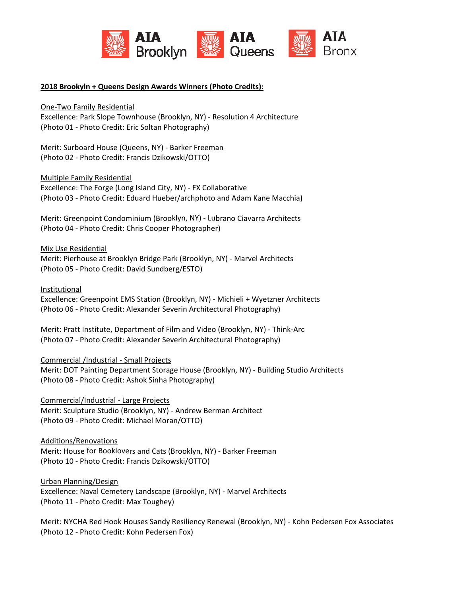

### 2018 Brookyln + Queens Design Awards Winners (Photo Credits):

One-Two Family Residential

Excellence: Park Slope Townhouse (Brooklyn, NY) - Resolution 4 Architecture (Photo 01 - Photo Credit: Eric Soltan Photography)

Merit: Surboard House (Queens, NY) - Barker Freeman (Photo 02 - Photo Credit: Francis Dzikowski/OTTO)

**Multiple Family Residential** 

Excellence: The Forge (Long Island City, NY) - FX Collaborative (Photo 03 - Photo Credit: Eduard Hueber/archphoto and Adam Kane Macchia)

Merit: Greenpoint Condominium (Brooklyn, NY) - Lubrano Ciavarra Architects (Photo 04 - Photo Credit: Chris Cooper Photographer)

Mix Use Residential

Merit: Pierhouse at Brooklyn Bridge Park (Brooklyn, NY) - Marvel Architects (Photo 05 - Photo Credit: David Sundberg/ESTO)

Institutional

Excellence: Greenpoint EMS Station (Brooklyn, NY) - Michieli + Wyetzner Architects (Photo 06 - Photo Credit: Alexander Severin Architectural Photography)

Merit: Pratt Institute, Department of Film and Video (Brooklyn, NY) - Think-Arc (Photo 07 - Photo Credit: Alexander Severin Architectural Photography)

#### **Commercial /Industrial - Small Projects**

Merit: DOT Painting Department Storage House (Brooklyn, NY) - Building Studio Architects (Photo 08 - Photo Credit: Ashok Sinha Photography)

Commercial/Industrial - Large Projects Merit: Sculpture Studio (Brooklyn, NY) - Andrew Berman Architect (Photo 09 - Photo Credit: Michael Moran/OTTO)

#### Additions/Renovations

Merit: House for Booklovers and Cats (Brooklyn, NY) - Barker Freeman (Photo 10 - Photo Credit: Francis Dzikowski/OTTO)

Urban Planning/Design

Excellence: Naval Cemetery Landscape (Brooklyn, NY) - Marvel Architects (Photo 11 - Photo Credit: Max Toughey)

Merit: NYCHA Red Hook Houses Sandy Resiliency Renewal (Brooklyn, NY) - Kohn Pedersen Fox Associates (Photo 12 - Photo Credit: Kohn Pedersen Fox)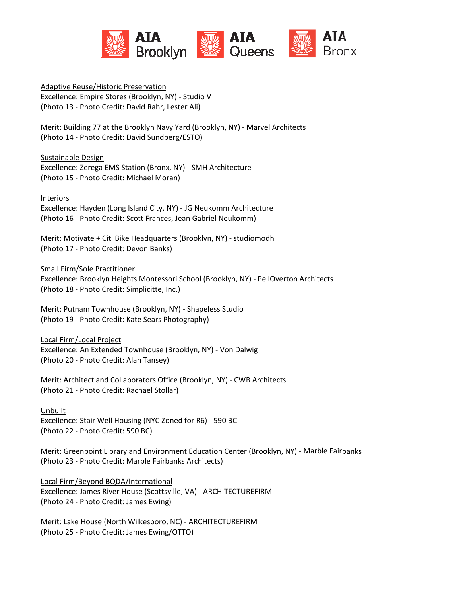

**Adaptive Reuse/Historic Preservation** Excellence: Empire Stores (Brooklyn, NY) - Studio V (Photo 13 - Photo Credit: David Rahr, Lester Ali)

Merit: Building 77 at the Brooklyn Navy Yard (Brooklyn, NY) - Marvel Architects (Photo 14 - Photo Credit: David Sundberg/ESTO)

Sustainable Design

Excellence: Zerega EMS Station (Bronx, NY) - SMH Architecture (Photo 15 - Photo Credit: Michael Moran)

**Interiors** 

Excellence: Hayden (Long Island City, NY) - JG Neukomm Architecture (Photo 16 - Photo Credit: Scott Frances, Jean Gabriel Neukomm)

Merit: Motivate + Citi Bike Headquarters (Brooklyn, NY) - studiomodh (Photo 17 - Photo Credit: Devon Banks)

**Small Firm/Sole Practitioner** 

Excellence: Brooklyn Heights Montessori School (Brooklyn, NY) - PellOverton Architects (Photo 18 - Photo Credit: Simplicitte, Inc.)

Merit: Putnam Townhouse (Brooklyn, NY) - Shapeless Studio (Photo 19 - Photo Credit: Kate Sears Photography)

Local Firm/Local Project Excellence: An Extended Townhouse (Brooklyn, NY) - Von Dalwig (Photo 20 - Photo Credit: Alan Tansey)

Merit: Architect and Collaborators Office (Brooklyn, NY) - CWB Architects (Photo 21 - Photo Credit: Rachael Stollar)

Unbuilt

Excellence: Stair Well Housing (NYC Zoned for R6) - 590 BC (Photo 22 - Photo Credit: 590 BC)

Merit: Greenpoint Library and Environment Education Center (Brooklyn, NY) - Marble Fairbanks (Photo 23 - Photo Credit: Marble Fairbanks Architects)

Local Firm/Beyond BQDA/International

Excellence: James River House (Scottsville, VA) - ARCHITECTUREFIRM (Photo 24 - Photo Credit: James Ewing)

Merit: Lake House (North Wilkesboro, NC) - ARCHITECTUREFIRM (Photo 25 - Photo Credit: James Ewing/OTTO)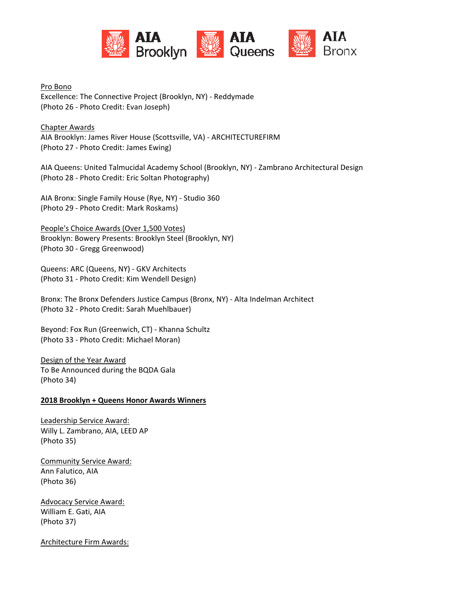

Pro Bono

Excellence: The Connective Project (Brooklyn, NY) - Reddymade (Photo 26 - Photo Credit: Evan Joseph)

**Chapter Awards** AIA Brooklyn: James River House (Scottsville, VA) - ARCHITECTUREFIRM (Photo 27 - Photo Credit: James Ewing)

AIA Queens: United Talmucidal Academy School (Brooklyn, NY) - Zambrano Architectural Design (Photo 28 - Photo Credit: Eric Soltan Photography)

AIA Bronx: Single Family House (Rye, NY) - Studio 360 (Photo 29 - Photo Credit: Mark Roskams)

People's Choice Awards (Over 1,500 Votes) Brooklyn: Bowery Presents: Brooklyn Steel (Brooklyn, NY) (Photo 30 - Gregg Greenwood)

Queens: ARC (Queens, NY) - GKV Architects (Photo 31 - Photo Credit: Kim Wendell Design)

Bronx: The Bronx Defenders Justice Campus (Bronx, NY) - Alta Indelman Architect (Photo 32 - Photo Credit: Sarah Muehlbauer)

Beyond: Fox Run (Greenwich, CT) - Khanna Schultz (Photo 33 - Photo Credit: Michael Moran)

Design of the Year Award To Be Announced during the BQDA Gala (Photo 34)

### 2018 Brooklyn + Queens Honor Awards Winners

Leadership Service Award: Willy L. Zambrano, AIA, LEED AP (Photo 35)

**Community Service Award:** Ann Falutico, AIA (Photo 36)

**Advocacy Service Award:** William E. Gati, AIA (Photo 37)

**Architecture Firm Awards:**